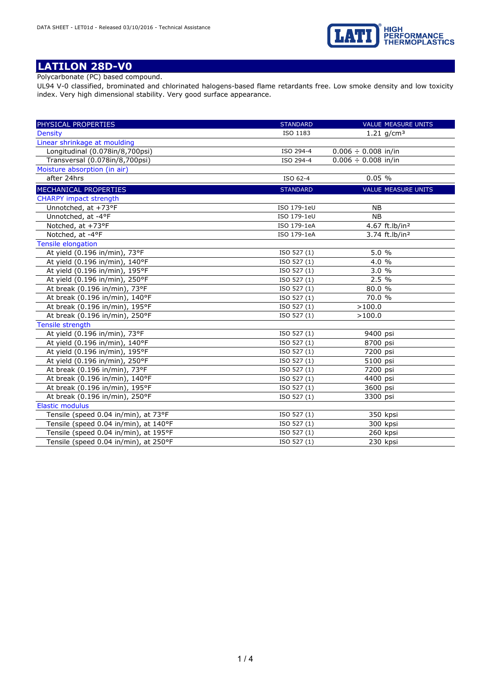

# **LATILON 28D-V0**

Polycarbonate (PC) based compound.

UL94 V-0 classified, brominated and chlorinated halogens-based flame retardants free. Low smoke density and low toxicity index. Very high dimensional stability. Very good surface appearance.

| PHYSICAL PROPERTIES                   | <b>STANDARD</b> | <b>VALUE MEASURE UNITS</b> |
|---------------------------------------|-----------------|----------------------------|
| <b>Density</b>                        | ISO 1183        | 1.21 $q/cm^3$              |
| Linear shrinkage at moulding          |                 |                            |
| Longitudinal (0.078in/8,700psi)       | ISO 294-4       | $0.006 \div 0.008$ in/in   |
| Transversal (0.078in/8,700psi)        | ISO 294-4       | $0.006 \div 0.008$ in/in   |
| Moisture absorption (in air)          |                 |                            |
| after 24hrs                           | ISO 62-4        | 0.05%                      |
| MECHANICAL PROPERTIES                 | <b>STANDARD</b> | <b>VALUE MEASURE UNITS</b> |
| <b>CHARPY impact strength</b>         |                 |                            |
| Unnotched, at +73°F                   | ISO 179-1eU     | <b>NB</b>                  |
| Unnotched, at -4°F                    | ISO 179-1eU     | <b>NB</b>                  |
| Notched, at +73°F                     | ISO 179-1eA     | 4.67 ft.lb/in <sup>2</sup> |
| Notched, at -4°F                      | ISO 179-1eA     | 3.74 ft.lb/in <sup>2</sup> |
| <b>Tensile elongation</b>             |                 |                            |
| At yield (0.196 in/min), 73°F         | ISO 527 (1)     | 5.0%                       |
| At yield (0.196 in/min), 140°F        | ISO 527 (1)     | 4.0 %                      |
| At yield (0.196 in/min), 195°F        | ISO 527 (1)     | 3.0%                       |
| At yield (0.196 in/min), 250°F        | ISO 527 (1)     | 2.5 %                      |
| At break (0.196 in/min), 73°F         | ISO 527 (1)     | $80.0\%$                   |
| At break (0.196 in/min), 140°F        | ISO 527 (1)     | 70.0 %                     |
| At break (0.196 in/min), 195°F        | ISO 527 (1)     | >100.0                     |
| At break (0.196 in/min), 250°F        | ISO 527 (1)     | >100.0                     |
| Tensile strength                      |                 |                            |
| At yield (0.196 in/min), 73°F         | ISO 527 (1)     | 9400 psi                   |
| At yield (0.196 in/min), 140°F        | ISO 527 (1)     | 8700 psi                   |
| At yield (0.196 in/min), 195°F        | ISO 527 (1)     | 7200 psi                   |
| At yield (0.196 in/min), 250°F        | ISO 527 (1)     | 5100 psi                   |
| At break (0.196 in/min), 73°F         | ISO 527 (1)     | 7200 psi                   |
| At break (0.196 in/min), 140°F        | ISO 527 (1)     | 4400 psi                   |
| At break (0.196 in/min), 195°F        | ISO 527 (1)     | 3600 psi                   |
| At break (0.196 in/min), 250°F        | ISO 527 (1)     | 3300 psi                   |
| <b>Elastic modulus</b>                |                 |                            |
| Tensile (speed 0.04 in/min), at 73°F  | ISO 527 (1)     | 350 kpsi                   |
| Tensile (speed 0.04 in/min), at 140°F | ISO 527 (1)     | 300 kpsi                   |
| Tensile (speed 0.04 in/min), at 195°F | ISO 527 (1)     | 260 kpsi                   |
| Tensile (speed 0.04 in/min), at 250°F | ISO 527 (1)     | 230 kpsi                   |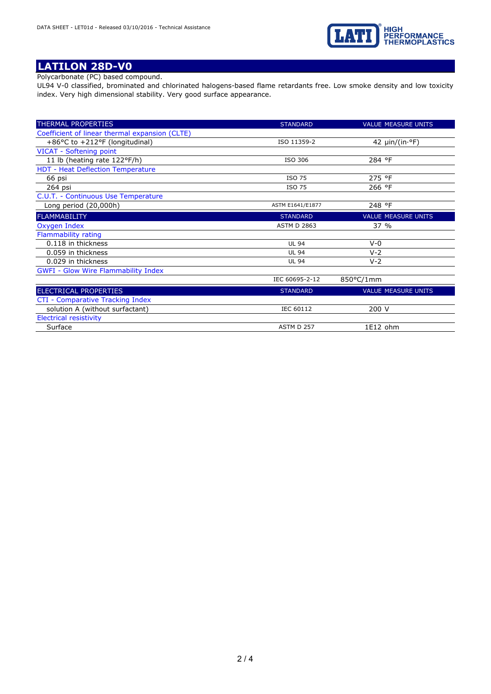

# **LATILON 28D-V0**

Polycarbonate (PC) based compound.

UL94 V-0 classified, brominated and chlorinated halogens-based flame retardants free. Low smoke density and low toxicity index. Very high dimensional stability. Very good surface appearance.

| THERMAL PROPERTIES                             | <b>STANDARD</b>    | <b>VALUE MEASURE UNITS</b>    |
|------------------------------------------------|--------------------|-------------------------------|
| Coefficient of linear thermal expansion (CLTE) |                    |                               |
| $+86$ °C to $+212$ °F (longitudinal)           | ISO 11359-2        | 42 $\mu$ in/(in· $\degree$ F) |
| VICAT - Softening point                        |                    |                               |
| 11 lb (heating rate 122°F/h)                   | ISO 306            | 284 °F                        |
| HDT - Heat Deflection Temperature              |                    |                               |
| 66 psi                                         | ISO 75             | 275 °F                        |
| 264 psi                                        | <b>ISO 75</b>      | 266 °F                        |
| C.U.T. - Continuous Use Temperature            |                    |                               |
| Long period (20,000h)                          | ASTM E1641/E1877   | 248 °F                        |
| <b>FLAMMABILITY</b>                            | <b>STANDARD</b>    | <b>VALUE MEASURE UNITS</b>    |
| Oxygen Index                                   | <b>ASTM D 2863</b> | 37 %                          |
| Flammability rating                            |                    |                               |
| 0.118 in thickness                             | <b>UL 94</b>       | $V - 0$                       |
| 0.059 in thickness                             | <b>UL 94</b>       | $V-2$                         |
| 0.029 in thickness                             | <b>UL 94</b>       | $V - 2$                       |
| <b>GWFI - Glow Wire Flammability Index</b>     |                    |                               |
|                                                | IEC 60695-2-12     | 850°C/1mm                     |
| ELECTRICAL PROPERTIES                          | <b>STANDARD</b>    | <b>VALUE MEASURE UNITS</b>    |
| CTI - Comparative Tracking Index               |                    |                               |
| solution A (without surfactant)                | IEC 60112          | 200 V                         |
| <b>Eloctrical rocictivity</b>                  |                    |                               |

trical resistivity Surface ASTM D 257 1E12 ohm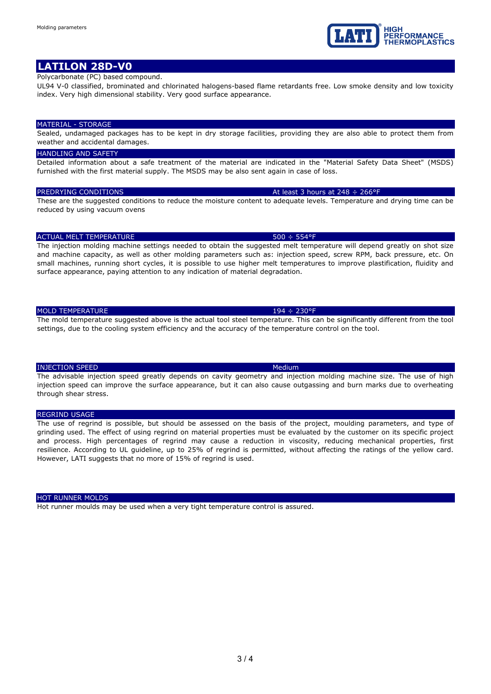3 / 4

# **LATILON 28D-V0**

### Polycarbonate (PC) based compound.

UL94 V-0 classified, brominated and chlorinated halogens-based flame retardants free. Low smoke density and low toxicity index. Very high dimensional stability. Very good surface appearance.

#### MATERIAL - STORAGE

Sealed, undamaged packages has to be kept in dry storage facilities, providing they are also able to protect them from weather and accidental damages.

#### **HANDLING AND SAFETY**

Detailed information about a safe treatment of the material are indicated in the "Material Safety Data Sheet" (MSDS) furnished with the first material supply. The MSDS may be also sent again in case of loss.

These are the suggested conditions to reduce the moisture content to adequate levels. Temperature and drying time can be reduced by using vacuum ovens

#### ACTUAL MELT TEMPERATURE **1999** CONTROL 1999 STATE 1999 STATE 1999 STATE 1999 STATE 1999 STATE 1999 STATE 1999 STATE 1999 STATE 1999 STATE 1999 STATE 1999 STATE 1999 STATE 1999 STATE 1999 STATE 1999 STATE 1999 STATE 1999 ST

The injection molding machine settings needed to obtain the suggested melt temperature will depend greatly on shot size and machine capacity, as well as other molding parameters such as: injection speed, screw RPM, back pressure, etc. On small machines, running short cycles, it is possible to use higher melt temperatures to improve plastification, fluidity and surface appearance, paying attention to any indication of material degradation.

### MOLD TEMPERATURE 194 ÷ 230°F

The mold temperature suggested above is the actual tool steel temperature. This can be significantly different from the tool settings, due to the cooling system efficiency and the accuracy of the temperature control on the tool.

#### **INJECTION SPEED Medium** Medium

The advisable injection speed greatly depends on cavity geometry and injection molding machine size. The use of high injection speed can improve the surface appearance, but it can also cause outgassing and burn marks due to overheating through shear stress.

#### REGRIND USAGE

The use of regrind is possible, but should be assessed on the basis of the project, moulding parameters, and type of grinding used. The effect of using regrind on material properties must be evaluated by the customer on its specific project and process. High percentages of regrind may cause a reduction in viscosity, reducing mechanical properties, first resilience. According to UL guideline, up to 25% of regrind is permitted, without affecting the ratings of the yellow card. However, LATI suggests that no more of 15% of regrind is used.

#### HOT RUNNER MOLDS

Hot runner moulds may be used when a very tight temperature control is assured.



#### PREDRYING CONDITIONS At least 3 hours at 248  $\div$  266°F